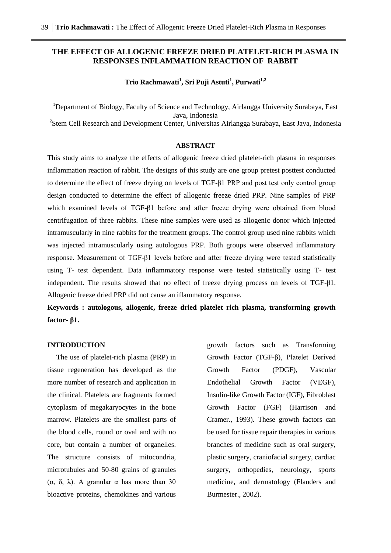# **THE EFFECT OF ALLOGENIC FREEZE DRIED PLATELET-RICH PLASMA IN RESPONSES INFLAMMATION REACTION OF RABBIT**

# **Trio Rachmawati<sup>1</sup> , Sri Puji Astuti<sup>1</sup> , Purwati1,2**

<sup>1</sup>Department of Biology, Faculty of Science and Technology, Airlangga University Surabaya, East Java, Indonesia <sup>2</sup>Stem Cell Research and Development Center, Universitas Airlangga Surabaya, East Java, Indonesia

## **ABSTRACT**

This study aims to analyze the effects of allogenic freeze dried platelet-rich plasma in responses inflammation reaction of rabbit. The designs of this study are one group pretest posttest conducted to determine the effect of freeze drying on levels of TGF-β1 PRP and post test only control group design conducted to determine the effect of allogenic freeze dried PRP. Nine samples of PRP which examined levels of TGF-β1 before and after freeze drying were obtained from blood centrifugation of three rabbits. These nine samples were used as allogenic donor which injected intramuscularly in nine rabbits for the treatment groups. The control group used nine rabbits which was injected intramuscularly using autologous PRP. Both groups were observed inflammatory response. Measurement of TGF-β1 levels before and after freeze drying were tested statistically using T- test dependent. Data inflammatory response were tested statistically using T- test independent. The results showed that no effect of freeze drying process on levels of TGF-β1. Allogenic freeze dried PRP did not cause an iflammatory response.

**Keywords : autologous, allogenic, freeze dried platelet rich plasma, transforming growth factor- β1.**

## **INTRODUCTION**

 The use of platelet-rich plasma (PRP) in tissue regeneration has developed as the more number of research and application in the clinical. Platelets are fragments formed cytoplasm of megakaryocytes in the bone marrow. Platelets are the smallest parts of the blood cells, round or oval and with no core, but contain a number of organelles. The structure consists of mitocondria, microtubules and 50-80 grains of granules (α, δ, λ). A granular α has more than 30 bioactive proteins, chemokines and various

growth factors such as Transforming Growth Factor (TGF-β), Platelet Derived Growth Factor (PDGF), Vascular Endothelial Growth Factor (VEGF), Insulin-like Growth Factor (IGF), Fibroblast Growth Factor (FGF) (Harrison and Cramer., 1993). These growth factors can be used for tissue repair therapies in various branches of medicine such as oral surgery, plastic surgery, craniofacial surgery, cardiac surgery, orthopedies, neurology, sports medicine, and dermatology (Flanders and Burmester., 2002).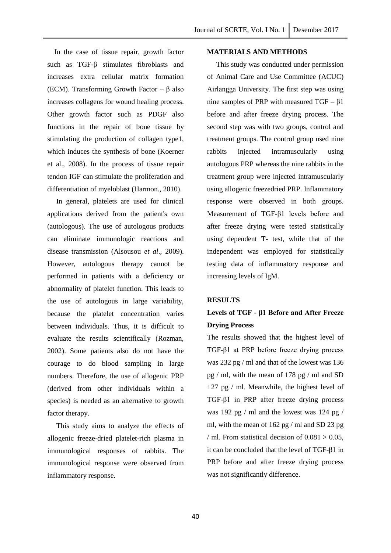In the case of tissue repair, growth factor such as TGF-β stimulates fibroblasts and increases extra cellular matrix formation (ECM). Transforming Growth Factor –  $\beta$  also increases collagens for wound healing process. Other growth factor such as PDGF also functions in the repair of bone tissue by stimulating the production of collagen type1, which induces the synthesis of bone (Koerner et al., 2008). In the process of tissue repair tendon IGF can stimulate the proliferation and differentiation of myeloblast (Harmon., 2010).

 In general, platelets are used for clinical applications derived from the patient's own (autologous). The use of autologous products can eliminate immunologic reactions and disease transmission (Alsousou *et al*., 2009). However, autologous therapy cannot be performed in patients with a deficiency or abnormality of platelet function. This leads to the use of autologous in large variability, because the platelet concentration varies between individuals. Thus, it is difficult to evaluate the results scientifically (Rozman, 2002). Some patients also do not have the courage to do blood sampling in large numbers. Therefore, the use of allogenic PRP (derived from other individuals within a species) is needed as an alternative to growth factor therapy.

 This study aims to analyze the effects of allogenic freeze-dried platelet-rich plasma in immunological responses of rabbits. The immunological response were observed from inflammatory response.

## **MATERIALS AND METHODS**

 This study was conducted under permission of Animal Care and Use Committee (ACUC) Airlangga University. The first step was using nine samples of PRP with measured  $TGF - \beta1$ before and after freeze drying process. The second step was with two groups, control and treatment groups. The control group used nine rabbits injected intramuscularly using autologous PRP whereas the nine rabbits in the treatment group were injected intramuscularly using allogenic freezedried PRP. Inflammatory response were observed in both groups. Measurement of TGF-β1 levels before and after freeze drying were tested statistically using dependent T- test, while that of the independent was employed for statistically testing data of inflammatory response and increasing levels of IgM.

### **RESULTS**

# **Levels of TGF - β1 Before and After Freeze Drying Process**

The results showed that the highest level of TGF-β1 at PRP before freeze drying process was 232 pg / ml and that of the lowest was 136 pg / ml, with the mean of 178 pg / ml and SD  $\pm 27$  pg / ml. Meanwhile, the highest level of TGF-β1 in PRP after freeze drying process was 192 pg / ml and the lowest was 124 pg / ml, with the mean of 162 pg / ml and SD 23 pg / ml. From statistical decision of  $0.081 > 0.05$ , it can be concluded that the level of TGF-β1 in PRP before and after freeze drying process was not significantly difference.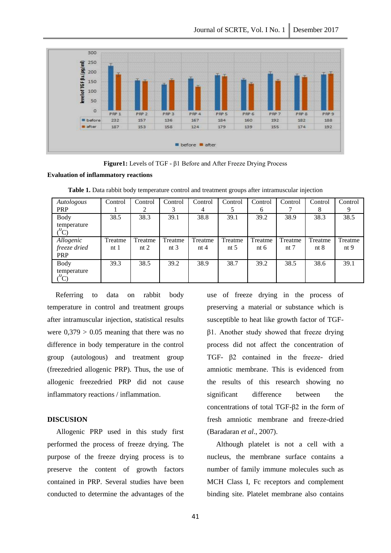

**Figure1:** Levels of TGF - β1 Before and After Freeze Drying Process

#### **Evaluation of inflammatory reactions**

| Autologous             | Control         | Control | Control | Control | Control | Control | Control | Control | Control         |
|------------------------|-----------------|---------|---------|---------|---------|---------|---------|---------|-----------------|
| PRP                    |                 | 2       |         | 4       |         | 6       |         | 8       |                 |
| <b>Body</b>            | 38.5            | 38.3    | 39.1    | 38.8    | 39.1    | 39.2    | 38.9    | 38.3    | 38.5            |
| temperature<br>$^{0}C$ |                 |         |         |         |         |         |         |         |                 |
| Allogenic              | Treatme         | Treatme | Treatme | Treatme | Treatme | Treatme | Treatme | Treatme | Treatme         |
| freeze dried           | nt <sub>1</sub> | nt $2$  | nt $3$  | nt $4$  | nt $5$  | nt $6$  | nt $7$  | nt $8$  | nt <sub>9</sub> |
| <b>PRP</b>             |                 |         |         |         |         |         |         |         |                 |
| <b>Body</b>            | 39.3            | 38.5    | 39.2    | 38.9    | 38.7    | 39.2    | 38.5    | 38.6    | 39.1            |
| temperature<br>$^0C$   |                 |         |         |         |         |         |         |         |                 |

Table 1. Data rabbit body temperature control and treatment groups after intramuscular injection

 Referring to data on rabbit body temperature in control and treatment groups after intramuscular injection, statistical results were  $0.379 > 0.05$  meaning that there was no difference in body temperature in the control group (autologous) and treatment group (freezedried allogenic PRP). Thus, the use of allogenic freezedried PRP did not cause inflammatory reactions / inflammation.

## **DISCUSION**

 Allogenic PRP used in this study first performed the process of freeze drying. The purpose of the freeze drying process is to preserve the content of growth factors contained in PRP. Several studies have been conducted to determine the advantages of the

use of freeze drying in the process of preserving a material or substance which is susceptible to heat like growth factor of TGFβ1. Another study showed that freeze drying process did not affect the concentration of TGF- β2 contained in the freeze- dried amniotic membrane. This is evidenced from the results of this research showing no significant difference between the concentrations of total TGF-β2 in the form of fresh amniotic membrane and freeze-dried (Baradaran *et al*., 2007).

 Although platelet is not a cell with a nucleus, the membrane surface contains a number of family immune molecules such as MCH Class I, Fc receptors and complement binding site. Platelet membrane also contains